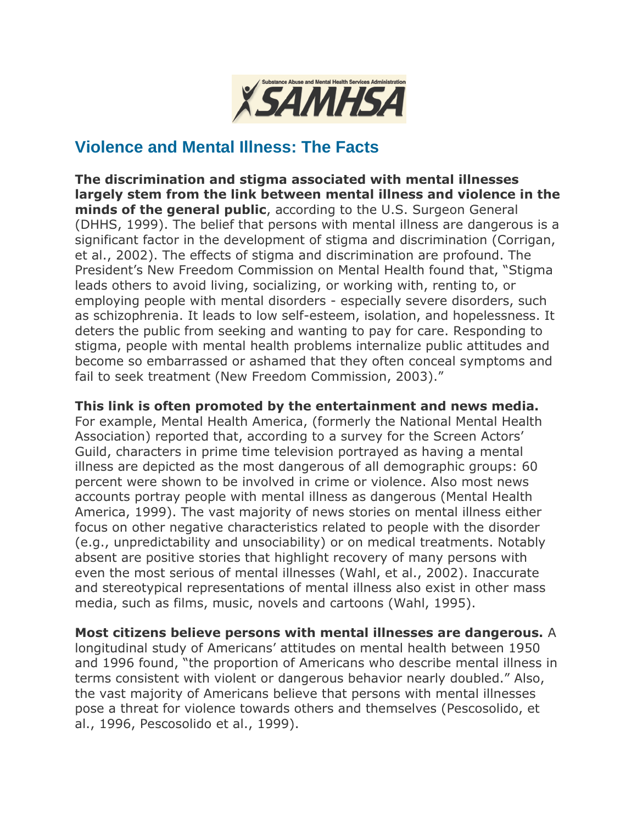

## **Violence and Mental Illness: The Facts**

**The discrimination and stigma associated with mental illnesses largely stem from the link between mental illness and violence in the minds of the general public**, according to the U.S. Surgeon General (DHHS, 1999). The belief that persons with mental illness are dangerous is a significant factor in the development of stigma and discrimination (Corrigan, et al., 2002). The effects of stigma and discrimination are profound. The President's New Freedom Commission on Mental Health found that, "Stigma leads others to avoid living, socializing, or working with, renting to, or employing people with mental disorders - especially severe disorders, such as schizophrenia. It leads to low self-esteem, isolation, and hopelessness. It deters the public from seeking and wanting to pay for care. Responding to stigma, people with mental health problems internalize public attitudes and become so embarrassed or ashamed that they often conceal symptoms and fail to seek treatment (New Freedom Commission, 2003)."

## **This link is often promoted by the entertainment and news media.**

For example, Mental Health America, (formerly the National Mental Health Association) reported that, according to a survey for the Screen Actors' Guild, characters in prime time television portrayed as having a mental illness are depicted as the most dangerous of all demographic groups: 60 percent were shown to be involved in crime or violence. Also most news accounts portray people with mental illness as dangerous (Mental Health America, 1999). The vast majority of news stories on mental illness either focus on other negative characteristics related to people with the disorder (e.g., unpredictability and unsociability) or on medical treatments. Notably absent are positive stories that highlight recovery of many persons with even the most serious of mental illnesses (Wahl, et al., 2002). Inaccurate and stereotypical representations of mental illness also exist in other mass media, such as films, music, novels and cartoons (Wahl, 1995).

**Most citizens believe persons with mental illnesses are dangerous.** A longitudinal study of Americans' attitudes on mental health between 1950 and 1996 found, "the proportion of Americans who describe mental illness in terms consistent with violent or dangerous behavior nearly doubled." Also, the vast majority of Americans believe that persons with mental illnesses pose a threat for violence towards others and themselves (Pescosolido, et al., 1996, Pescosolido et al., 1999).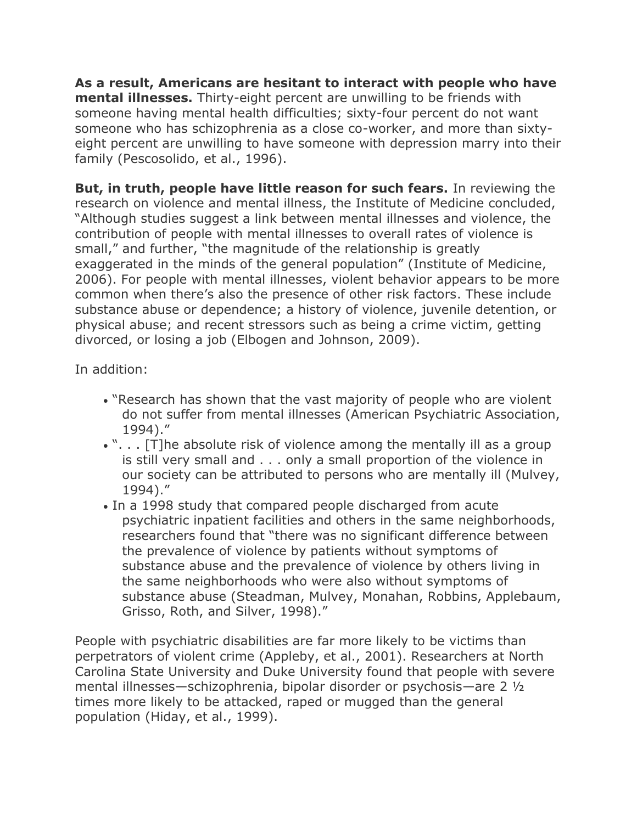**As a result, Americans are hesitant to interact with people who have mental illnesses.** Thirty-eight percent are unwilling to be friends with someone having mental health difficulties; sixty-four percent do not want someone who has schizophrenia as a close co-worker, and more than sixtyeight percent are unwilling to have someone with depression marry into their family (Pescosolido, et al., 1996).

**But, in truth, people have little reason for such fears.** In reviewing the research on violence and mental illness, the Institute of Medicine concluded, "Although studies suggest a link between mental illnesses and violence, the contribution of people with mental illnesses to overall rates of violence is small," and further, "the magnitude of the relationship is greatly exaggerated in the minds of the general population" (Institute of Medicine, 2006). For people with mental illnesses, violent behavior appears to be more common when there's also the presence of other risk factors. These include substance abuse or dependence; a history of violence, juvenile detention, or physical abuse; and recent stressors such as being a crime victim, getting divorced, or losing a job (Elbogen and Johnson, 2009).

In addition:

- "Research has shown that the vast majority of people who are violent do not suffer from mental illnesses (American Psychiatric Association, 1994)."
- . ". . . [T]he absolute risk of violence among the mentally ill as a group is still very small and . . . only a small proportion of the violence in our society can be attributed to persons who are mentally ill (Mulvey, 1994)."
- In a 1998 study that compared people discharged from acute psychiatric inpatient facilities and others in the same neighborhoods, researchers found that "there was no significant difference between the prevalence of violence by patients without symptoms of substance abuse and the prevalence of violence by others living in the same neighborhoods who were also without symptoms of substance abuse (Steadman, Mulvey, Monahan, Robbins, Applebaum, Grisso, Roth, and Silver, 1998)."

People with psychiatric disabilities are far more likely to be victims than perpetrators of violent crime (Appleby, et al., 2001). Researchers at North Carolina State University and Duke University found that people with severe mental illnesses—schizophrenia, bipolar disorder or psychosis—are 2 ½ times more likely to be attacked, raped or mugged than the general population (Hiday, et al., 1999).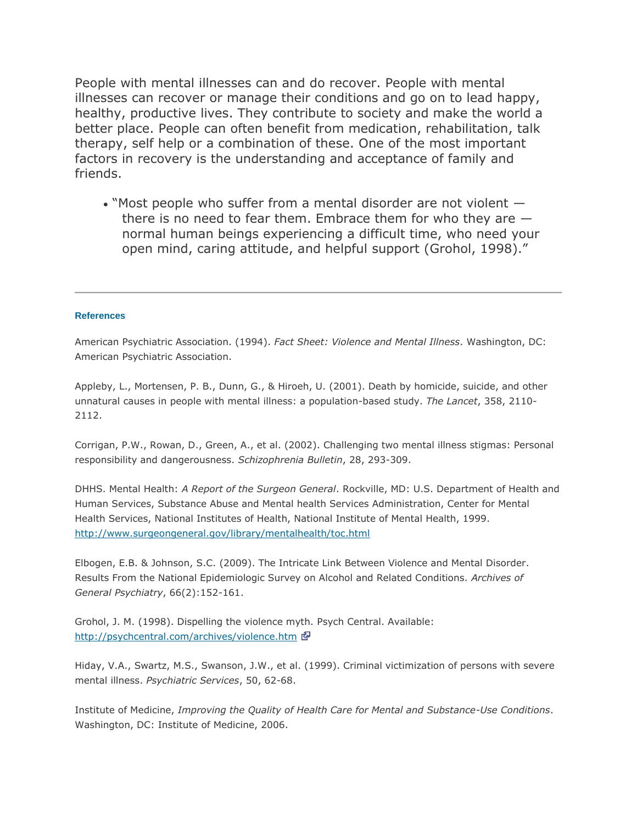People with mental illnesses can and do recover. People with mental illnesses can recover or manage their conditions and go on to lead happy, healthy, productive lives. They contribute to society and make the world a better place. People can often benefit from medication, rehabilitation, talk therapy, self help or a combination of these. One of the most important factors in recovery is the understanding and acceptance of family and friends.

 "Most people who suffer from a mental disorder are not violent there is no need to fear them. Embrace them for who they are normal human beings experiencing a difficult time, who need your open mind, caring attitude, and helpful support (Grohol, 1998)."

## **References**

American Psychiatric Association. (1994). *Fact Sheet: Violence and Mental Illness*. Washington, DC: American Psychiatric Association.

Appleby, L., Mortensen, P. B., Dunn, G., & Hiroeh, U. (2001). Death by homicide, suicide, and other unnatural causes in people with mental illness: a population-based study. *The Lancet*, 358, 2110- 2112.

Corrigan, P.W., Rowan, D., Green, A., et al. (2002). Challenging two mental illness stigmas: Personal responsibility and dangerousness. *Schizophrenia Bulletin*, 28, 293-309.

DHHS. Mental Health: *A Report of the Surgeon General*. Rockville, MD: U.S. Department of Health and Human Services, Substance Abuse and Mental health Services Administration, Center for Mental Health Services, National Institutes of Health, National Institute of Mental Health, 1999. <http://www.surgeongeneral.gov/library/mentalhealth/toc.html>

Elbogen, E.B. & Johnson, S.C. (2009). The Intricate Link Between Violence and Mental Disorder. Results From the National Epidemiologic Survey on Alcohol and Related Conditions. *Archives of General Psychiatry*, 66(2):152-161.

Grohol, J. M. (1998). Dispelling the violence myth. Psych Central. Available: [http://psychcentral.com/archives/violence.htm](http://promoteacceptance.samhsa.gov/redirect.aspx?url=http://psychcentral.com/archives/violence.htm)

Hiday, V.A., Swartz, M.S., Swanson, J.W., et al. (1999). Criminal victimization of persons with severe mental illness. *Psychiatric Services*, 50, 62-68.

Institute of Medicine, *Improving the Quality of Health Care for Mental and Substance-Use Conditions*. Washington, DC: Institute of Medicine, 2006.